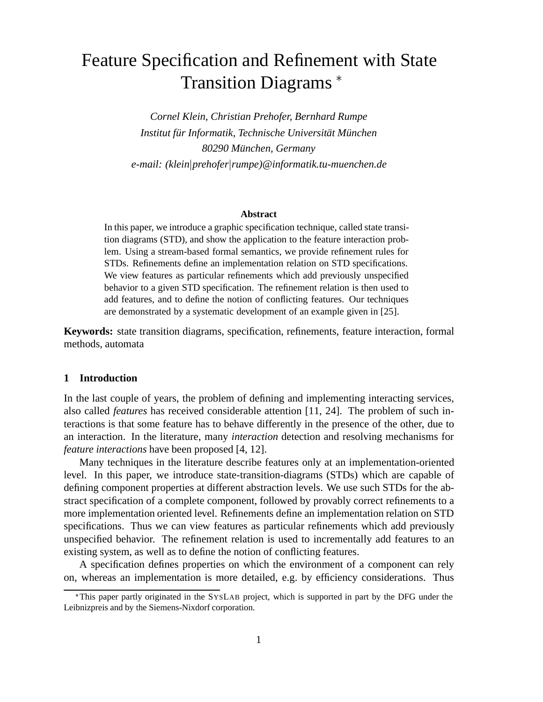# Feature Specification and Refinement with State Transition Diagrams

*Cornel Klein, Christian Prehofer, Bernhard Rumpe Institut fur Informatik, Technische Universit ¨ at M¨ unchen ¨ 80290 Munchen, Germany ¨ e-mail: (klein*j*prehofer*j*rumpe)@informatik.tu-muenchen.de*

# **Abstract**

In this paper, we introduce a graphic specification technique, called state transition diagrams (STD), and show the application to the feature interaction problem. Using a stream-based formal semantics, we provide refinement rules for STDs. Refinements define an implementation relation on STD specifications. We view features as particular refinements which add previously unspecified behavior to a given STD specification. The refinement relation is then used to add features, and to define the notion of conflicting features. Our techniques are demonstrated by a systematic development of an example given in [25].

**Keywords:** state transition diagrams, specification, refinements, feature interaction, formal methods, automata

# **1 Introduction**

In the last couple of years, the problem of defining and implementing interacting services, also called *features* has received considerable attention [11, 24]. The problem of such interactions is that some feature has to behave differently in the presence of the other, due to an interaction. In the literature, many *interaction* detection and resolving mechanisms for *feature interactions* have been proposed [4, 12].

Many techniques in the literature describe features only at an implementation-oriented level. In this paper, we introduce state-transition-diagrams (STDs) which are capable of defining component properties at different abstraction levels. We use such STDs for the abstract specification of a complete component, followed by provably correct refinements to a more implementation oriented level. Refinements define an implementation relation on STD specifications. Thus we can view features as particular refinements which add previously unspecified behavior. The refinement relation is used to incrementally add features to an existing system, as well as to define the notion of conflicting features.

A specification defines properties on which the environment of a component can rely on, whereas an implementation is more detailed, e.g. by efficiency considerations. Thus

This paper partly originated in the SYSLAB project, which is supported in part by the DFG under the Leibnizpreis and by the Siemens-Nixdorf corporation.

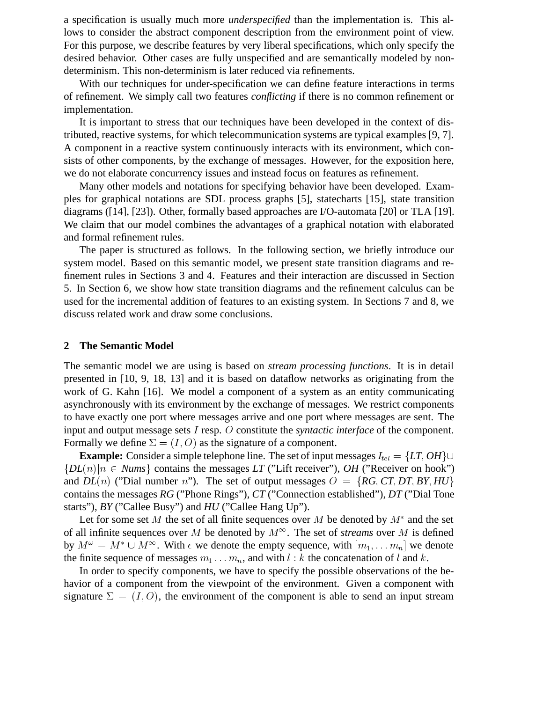a specification is usually much more *underspecified* than the implementation is. This allows to consider the abstract component description from the environment point of view. For this purpose, we describe features by very liberal specifications, which only specify the desired behavior. Other cases are fully unspecified and are semantically modeled by nondeterminism. This non-determinism is later reduced via refinements.

With our techniques for under-specification we can define feature interactions in terms of refinement. We simply call two features *conflicting* if there is no common refinement or implementation.

It is important to stress that our techniques have been developed in the context of distributed, reactive systems, for which telecommunication systems are typical examples [9, 7]. A component in a reactive system continuously interacts with its environment, which consists of other components, by the exchange of messages. However, for the exposition here, we do not elaborate concurrency issues and instead focus on features as refinement.

Many other models and notations for specifying behavior have been developed. Examples for graphical notations are SDL process graphs [5], statecharts [15], state transition diagrams ([14], [23]). Other, formally based approaches are I/O-automata [20] or TLA [19]. We claim that our model combines the advantages of a graphical notation with elaborated and formal refinement rules.

The paper is structured as follows. In the following section, we briefly introduce our system model. Based on this semantic model, we present state transition diagrams and refinement rules in Sections 3 and 4. Features and their interaction are discussed in Section 5. In Section 6, we show how state transition diagrams and the refinement calculus can be used for the incremental addition of features to an existing system. In Sections 7 and 8, we discuss related work and draw some conclusions.

# **2 The Semantic Model**

The semantic model we are using is based on *stream processing functions*. It is in detail presented in [10, 9, 18, 13] and it is based on dataflow networks as originating from the work of G. Kahn [16]. We model a component of a system as an entity communicating asynchronously with its environment by the exchange of messages. We restrict components to have exactly one port where messages arrive and one port where messages are sent. The input and output message sets <sup>I</sup> resp. <sup>O</sup> constitute the *syntactic interface* of the component. Formally we define  $\Sigma = (I, O)$  as the signature of a component.

**Example:** Consider a simple telephone line. The set of input messages  $I_{tel} = \{LT, OH\} \cup$  ${DL(n)|n \in Nums}$  contains the messages *LT* ("Lift receiver"), *OH* ("Receiver on hook") and  $DL(n)$  ("Dial number n"). The set of output messages  $O = \{RG, CT, DT, BY, HV\}$ contains the messages *RG* ("Phone Rings"), *CT* ("Connection established"), *DT* ("Dial Tone starts"), *BY* ("Callee Busy") and *HU* ("Callee Hang Up").

Let for some set M the set of all finite sequences over M be denoted by  $M^*$  and the set of all infinite sequences over M be denoted by  $M^{\infty}$ . The set of *streams* over M is defined by  $M^{\omega} = M^* \cup M^{\infty}$ . With  $\epsilon$  we denote the empty sequence, with  $[m_1, \ldots m_n]$  we denote the finite sequence of messages  $m_1 \dots m_n$ , and with l : k the concatenation of l and k.

In order to specify components, we have to specify the possible observations of the behavior of a component from the viewpoint of the environment. Given a component with signature  $\Sigma = (I, O)$ , the environment of the component is able to send an input stream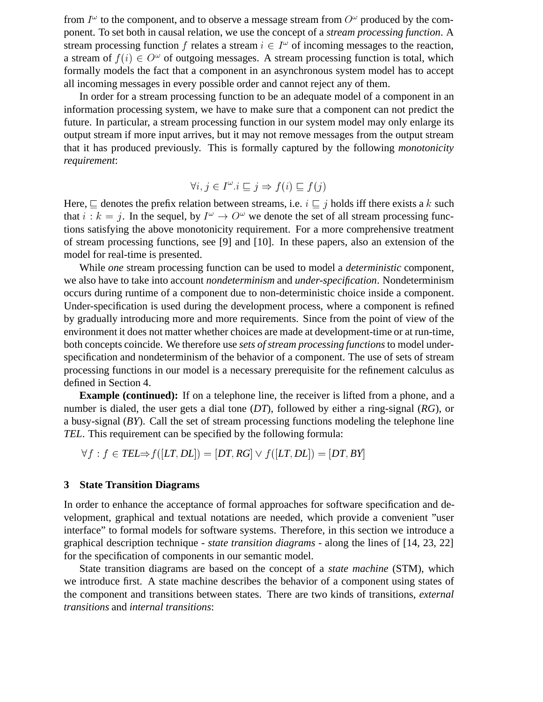from  $I^{\omega}$  to the component, and to observe a message stream from  $O^{\omega}$  produced by the component. To set both in causal relation, we use the concept of a *stream processing function*. A stream processing function f relates a stream  $i \in I^{\omega}$  of incoming messages to the reaction, a stream of  $f(i) \in O^{\omega}$  of outgoing messages. A stream processing function is total, which formally models the fact that a component in an asynchronous system model has to accept all incoming messages in every possible order and cannot reject any of them.

In order for a stream processing function to be an adequate model of a component in an information processing system, we have to make sure that a component can not predict the future. In particular, a stream processing function in our system model may only enlarge its output stream if more input arrives, but it may not remove messages from the output stream that it has produced previously. This is formally captured by the following *monotonicity requirement*:

$$
\forall i, j \in I^{\omega}. i \sqsubseteq j \Rightarrow f(i) \sqsubseteq f(j)
$$

Here,  $\sqsubset$  denotes the prefix relation between streams, i.e.  $i \sqsubset j$  holds iff there exists a k such that  $i : k = j$ . In the sequel, by  $I^{\omega} \to O^{\omega}$  we denote the set of all stream processing functions satisfying the above monotonicity requirement. For a more comprehensive treatment of stream processing functions, see [9] and [10]. In these papers, also an extension of the model for real-time is presented.

While *one* stream processing function can be used to model a *deterministic* component, we also have to take into account *nondeterminism* and *under-specification*. Nondeterminism occurs during runtime of a component due to non-deterministic choice inside a component. Under-specification is used during the development process, where a component is refined by gradually introducing more and more requirements. Since from the point of view of the environment it does not matter whether choices are made at development-time or at run-time, both concepts coincide. We therefore use *sets of stream processing functions*to model underspecification and nondeterminism of the behavior of a component. The use of sets of stream processing functions in our model is a necessary prerequisite for the refinement calculus as defined in Section 4.

**Example (continued):** If on a telephone line, the receiver is lifted from a phone, and a number is dialed, the user gets a dial tone (*DT*), followed by either a ring-signal (*RG*), or a busy-signal (*BY*). Call the set of stream processing functions modeling the telephone line *TEL*. This requirement can be specified by the following formula:

 $\forall f:f\in\textrm{TEL}\Rightarrow f([LT,DL])=[DT,RG]\vee f([LT,DL])=[DT,BY]$ 

#### **3 State Transition Diagrams**

In order to enhance the acceptance of formal approaches for software specification and development, graphical and textual notations are needed, which provide a convenient "user interface" to formal models for software systems. Therefore, in this section we introduce a graphical description technique - *state transition diagrams* - along the lines of [14, 23, 22] for the specification of components in our semantic model.

State transition diagrams are based on the concept of a *state machine* (STM), which we introduce first. A state machine describes the behavior of a component using states of the component and transitions between states. There are two kinds of transitions, *external transitions* and *internal transitions*: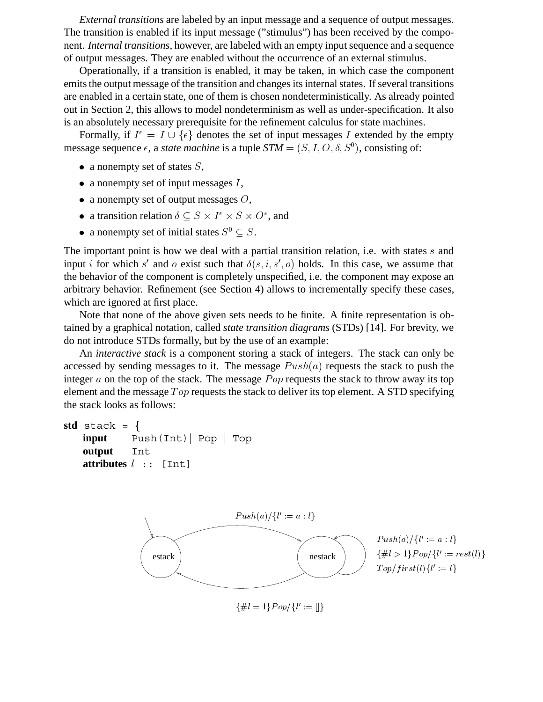*External transitions* are labeled by an input message and a sequence of output messages. The transition is enabled if its input message ("stimulus") has been received by the component. *Internal transitions*, however, are labeled with an empty input sequence and a sequence of output messages. They are enabled without the occurrence of an external stimulus.

Operationally, if a transition is enabled, it may be taken, in which case the component emits the output message of the transition and changes its internal states. If several transitions are enabled in a certain state, one of them is chosen nondeterministically. As already pointed out in Section 2, this allows to model nondeterminism as well as under-specification. It also is an absolutely necessary prerequisite for the refinement calculus for state machines.

Formally, if  $I^{\epsilon} = I \cup \{\epsilon\}$  denotes the set of input messages I extended by the empty message sequence  $\epsilon$ , a *state machine* is a tuple  $STM = (S, I, O, \delta, S^0)$ , consisting of:

- a nonempty set of states  $S$ ,
- a nonempty set of input messages  $I$ ,
- a nonempty set of output messages  $O$ ,
- a transition relation  $\delta \subseteq S \times I^{\epsilon} \times S \times O^*$ , and
- a nonempty set of initial states  $S^0 \subseteq S$ .

The important point is how we deal with a partial transition relation, i.e. with states  $s$  and input *i* for which s' and o exist such that  $\delta(s, i, s', o)$  holds. In this case, we assume that the behavior of the component is completely unspecified, i.e. the component may expose an arbitrary behavior. Refinement (see Section 4) allows to incrementally specify these cases, which are ignored at first place.

Note that none of the above given sets needs to be finite. A finite representation is obtained by a graphical notation, called *state transition diagrams* (STDs) [14]. For brevity, we do not introduce STDs formally, but by the use of an example:

An *interactive stack* is a component storing a stack of integers. The stack can only be accessed by sending messages to it. The message  $Push(a)$  requests the stack to push the integer  $a$  on the top of the stack. The message  $Pop$  requests the stack to throw away its top element and the message  $Top$  requests the stack to deliver its top element. A STD specifying the stack looks as follows:

```
std stack = \{input Push(Int) Pop Top
output Int
```

```
attributes l :: [Int]
```


 $\{\#l=1\}Pop/\{l':=\begin{bmatrix} \end{bmatrix}\}$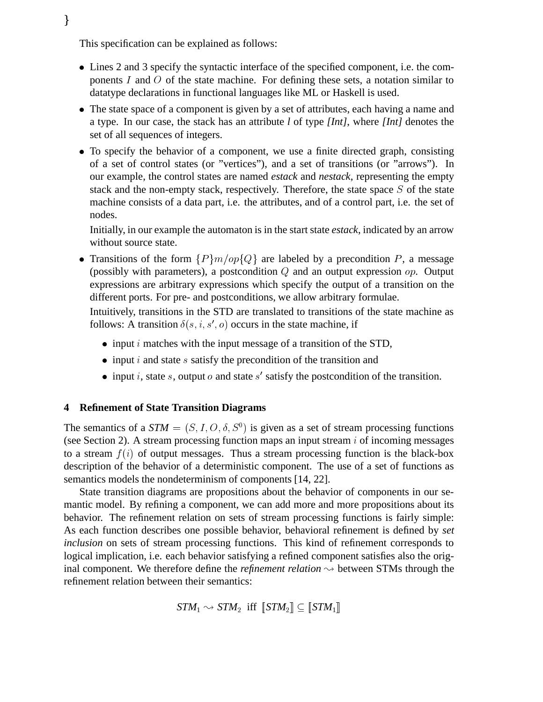This specification can be explained as follows:

 $\}$ 

- Lines 2 and 3 specify the syntactic interface of the specified component, i.e. the components  $I$  and  $O$  of the state machine. For defining these sets, a notation similar to datatype declarations in functional languages like ML or Haskell is used.
- The state space of a component is given by a set of attributes, each having a name and a type. In our case, the stack has an attribute *l* of type *[Int]*, where *[Int]* denotes the set of all sequences of integers.
- To specify the behavior of a component, we use a finite directed graph, consisting of a set of control states (or "vertices"), and a set of transitions (or "arrows"). In our example, the control states are named *estack* and *nestack*, representing the empty stack and the non-empty stack, respectively. Therefore, the state space <sup>S</sup> of the state machine consists of a data part, i.e. the attributes, and of a control part, i.e. the set of nodes.

Initially, in our example the automaton is in the start state *estack*, indicated by an arrow without source state.

• Transitions of the form  $\{P\}m/op\{Q\}$  are labeled by a precondition P, a message (possibly with parameters), a postcondition  $Q$  and an output expression  $op$ . Output expressions are arbitrary expressions which specify the output of a transition on the different ports. For pre- and postconditions, we allow arbitrary formulae.

Intuitively, transitions in the STD are translated to transitions of the state machine as follows: A transition  $\delta(s, i, s', o)$  occurs in the state machine, if

- $\bullet$  input *i* matches with the input message of a transition of the STD,
- $\bullet$  input i and state s satisfy the precondition of the transition and
- input i, state s, output o and state s' satisfy the postcondition of the transition.

# **4 Refinement of State Transition Diagrams**

The semantics of a  $STM = (S, I, O, \delta, S^0)$  is given as a set of stream processing functions (see Section 2). A stream processing function maps an input stream  $i$  of incoming messages to a stream  $f(i)$  of output messages. Thus a stream processing function is the black-box description of the behavior of a deterministic component. The use of a set of functions as semantics models the nondeterminism of components [14, 22].

State transition diagrams are propositions about the behavior of components in our semantic model. By refining a component, we can add more and more propositions about its behavior. The refinement relation on sets of stream processing functions is fairly simple: As each function describes one possible behavior, behavioral refinement is defined by *set inclusion* on sets of stream processing functions. This kind of refinement corresponds to logical implication, i.e. each behavior satisfying a refined component satisfies also the original component. We therefore define the *refinement relation*  $\sim$  between STMs through the refinement relation between their semantics:

 $STM_1 \rightsquigarrow STM_2$  iff  $\llbracket STM_2 \rrbracket \subset \llbracket STM_1 \rrbracket$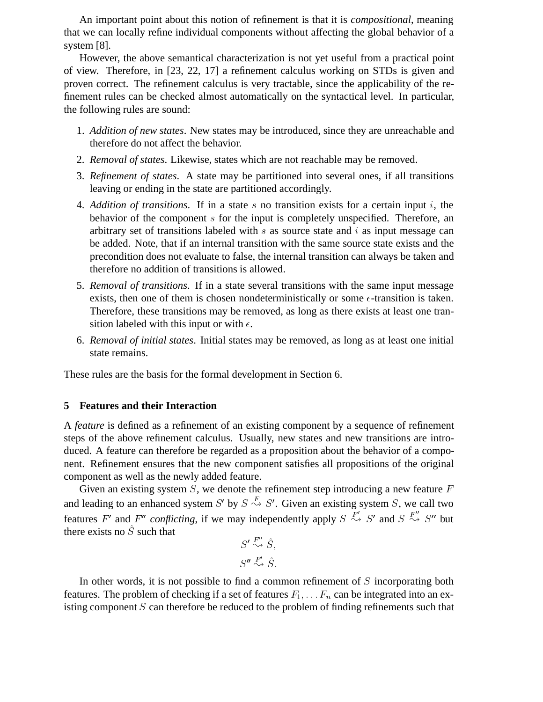An important point about this notion of refinement is that it is *compositional*, meaning that we can locally refine individual components without affecting the global behavior of a system [8].

However, the above semantical characterization is not yet useful from a practical point of view. Therefore, in [23, 22, 17] a refinement calculus working on STDs is given and proven correct. The refinement calculus is very tractable, since the applicability of the refinement rules can be checked almost automatically on the syntactical level. In particular, the following rules are sound:

- 1. *Addition of new states*. New states may be introduced, since they are unreachable and therefore do not affect the behavior.
- 2. *Removal of states*. Likewise, states which are not reachable may be removed.
- 3. *Refinement of states*. A state may be partitioned into several ones, if all transitions leaving or ending in the state are partitioned accordingly.
- 4. *Addition of transitions*. If in a state s no transition exists for a certain input i, the behavior of the component <sup>s</sup> for the input is completely unspecified. Therefore, an arbitrary set of transitions labeled with  $s$  as source state and  $i$  as input message can be added. Note, that if an internal transition with the same source state exists and the precondition does not evaluate to false, the internal transition can always be taken and therefore no addition of transitions is allowed.
- 5. *Removal of transitions*. If in a state several transitions with the same input message exists, then one of them is chosen nondeterministically or some  $\epsilon$ -transition is taken. Therefore, these transitions may be removed, as long as there exists at least one transition labeled with this input or with  $\epsilon$ .
- 6. *Removal of initial states*. Initial states may be removed, as long as at least one initial state remains.

These rules are the basis for the formal development in Section 6.

#### **5 Features and their Interaction**

A *feature* is defined as a refinement of an existing component by a sequence of refinement steps of the above refinement calculus. Usually, new states and new transitions are introduced. A feature can therefore be regarded as a proposition about the behavior of a component. Refinement ensures that the new component satisfies all propositions of the original component as well as the newly added feature.

Given an existing system  $S$ , we denote the refinement step introducing a new feature  $F$ and leading to an enhanced system S' by  $S \overset{r}{\leadsto} S'$ . Given an existing system S, we call two features F' and F'' conflicting, if we may independently apply  $S \stackrel{r}{\leadsto} S'$  and  $S \stackrel{r}{\leadsto} S''$  but there exists no  $S$  such that

$$
S' \stackrel{F''}{\rightsquigarrow} \hat{S},
$$
  

$$
S'' \stackrel{F'}{\rightsquigarrow} \hat{S}.
$$

In other words, it is not possible to find a common refinement of  $S$  incorporating both features. The problem of checking if a set of features  $F_1, \ldots, F_n$  can be integrated into an existing component  $S$  can therefore be reduced to the problem of finding refinements such that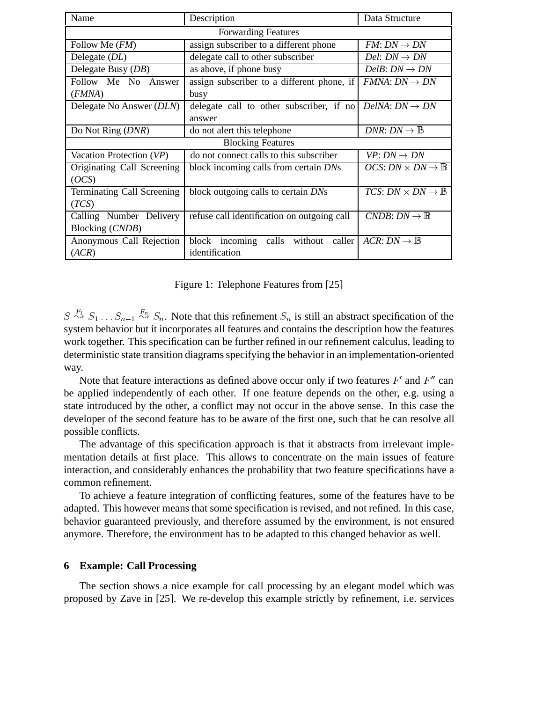| Name                       | Description                                 | Data Structure                                                     |
|----------------------------|---------------------------------------------|--------------------------------------------------------------------|
| <b>Forwarding Features</b> |                                             |                                                                    |
| Follow Me $(FM)$           | assign subscriber to a different phone      | $FM: DN \rightarrow DN$                                            |
| Delegate $(DL)$            | delegate call to other subscriber           | Del: $DN \rightarrow DN$                                           |
| Delegate Busy (DB)         | as above, if phone busy                     | DelB: $DN \to DN$                                                  |
| Follow Me No Answer        | assign subscriber to a different phone, if  | $FMM: DN \rightarrow DN$                                           |
| (FMNA)                     | busy                                        |                                                                    |
| Delegate No Answer (DLN)   | delegate call to other subscriber, if no    | $DelNA: DN \rightarrow DN$                                         |
|                            | answer                                      |                                                                    |
| Do Not Ring ( <i>DNR</i> ) | do not alert this telephone                 | DNR: $DN \to \mathbb{B}$                                           |
| <b>Blocking Features</b>   |                                             |                                                                    |
| Vacation Protection (VP)   | do not connect calls to this subscriber     | $VP: DN \rightarrow DN$                                            |
| Originating Call Screening | block incoming calls from certain DNs       | <i>OCS</i> : <i>DN</i> $\times$ <i>DN</i> $\rightarrow \mathbb{B}$ |
| (OCS)                      |                                             |                                                                    |
| Terminating Call Screening | block outgoing calls to certain DNs         | <i>TCS</i> : <i>DN</i> $\times$ <i>DN</i> $\rightarrow \mathbb{B}$ |
| (TCS)                      |                                             |                                                                    |
| Calling Number Delivery    | refuse call identification on outgoing call | CNDB: $DN \to \mathbb{B}$                                          |
| Blocking (CNDB)            |                                             |                                                                    |
| Anonymous Call Rejection   | block incoming calls without caller         | $ACR: DN \rightarrow \mathbb{B}$                                   |
| (ACR)                      | identification                              |                                                                    |

Figure 1: Telephone Features from [25]

 $S \stackrel{F_1}{\rightsquigarrow} S_1 \ldots S_{n-1} \stackrel{F_n}{\rightsquigarrow} S_n$ . Note that this refinement  $S_n$  is still an abstract specification of the system behavior but it incorporates all features and contains the description how the features work together. This specification can be further refined in our refinement calculus, leading to deterministic state transition diagrams specifying the behavior in an implementation-oriented way.

Note that feature interactions as defined above occur only if two features  $F'$  and  $F''$  can be applied independently of each other. If one feature depends on the other, e.g. using a state introduced by the other, a conflict may not occur in the above sense. In this case the developer of the second feature has to be aware of the first one, such that he can resolve all possible conflicts.

The advantage of this specification approach is that it abstracts from irrelevant implementation details at first place. This allows to concentrate on the main issues of feature interaction, and considerably enhances the probability that two feature specifications have a common refinement.

To achieve a feature integration of conflicting features, some of the features have to be adapted. This however means that some specification is revised, and not refined. In this case, behavior guaranteed previously, and therefore assumed by the environment, is not ensured anymore. Therefore, the environment has to be adapted to this changed behavior as well.

# **6 Example: Call Processing**

The section shows a nice example for call processing by an elegant model which was proposed by Zave in [25]. We re-develop this example strictly by refinement, i.e. services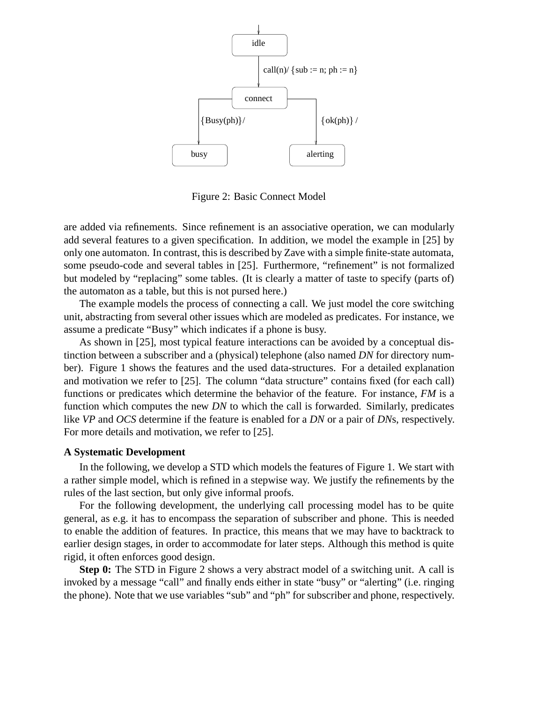

Figure 2: Basic Connect Model

are added via refinements. Since refinement is an associative operation, we can modularly add several features to a given specification. In addition, we model the example in [25] by only one automaton. In contrast, this is described by Zave with a simple finite-state automata, some pseudo-code and several tables in [25]. Furthermore, "refinement" is not formalized but modeled by "replacing" some tables. (It is clearly a matter of taste to specify (parts of) the automaton as a table, but this is not pursed here.)

The example models the process of connecting a call. We just model the core switching unit, abstracting from several other issues which are modeled as predicates. For instance, we assume a predicate "Busy" which indicates if a phone is busy.

As shown in [25], most typical feature interactions can be avoided by a conceptual distinction between a subscriber and a (physical) telephone (also named *DN* for directory number). Figure 1 shows the features and the used data-structures. For a detailed explanation and motivation we refer to [25]. The column "data structure" contains fixed (for each call) functions or predicates which determine the behavior of the feature. For instance, *FM* is a function which computes the new *DN* to which the call is forwarded. Similarly, predicates like *VP* and *OCS* determine if the feature is enabled for a *DN* or a pair of *DN*s, respectively. For more details and motivation, we refer to [25].

#### **A Systematic Development**

In the following, we develop a STD which models the features of Figure 1. We start with a rather simple model, which is refined in a stepwise way. We justify the refinements by the rules of the last section, but only give informal proofs.

For the following development, the underlying call processing model has to be quite general, as e.g. it has to encompass the separation of subscriber and phone. This is needed to enable the addition of features. In practice, this means that we may have to backtrack to earlier design stages, in order to accommodate for later steps. Although this method is quite rigid, it often enforces good design.

**Step 0:** The STD in Figure 2 shows a very abstract model of a switching unit. A call is invoked by a message "call" and finally ends either in state "busy" or "alerting" (i.e. ringing the phone). Note that we use variables "sub" and "ph" for subscriber and phone, respectively.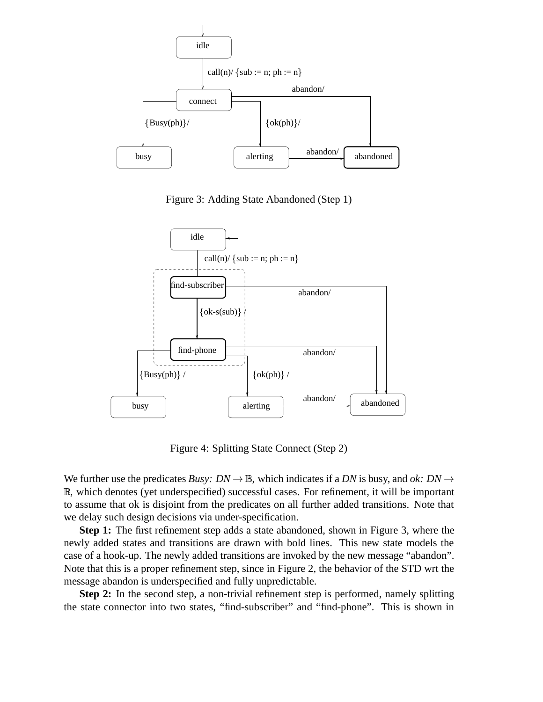

Figure 3: Adding State Abandoned (Step 1)



Figure 4: Splitting State Connect (Step 2)

We further use the predicates *Busy: DN*  $\rightarrow \mathbb{B}$ , which indicates if a *DN* is busy, and *ok: DN*  $\rightarrow$ B, which denotes (yet underspecified) successful cases. For refinement, it will be important to assume that ok is disjoint from the predicates on all further added transitions. Note that we delay such design decisions via under-specification.

**Step 1:** The first refinement step adds a state abandoned, shown in Figure 3, where the newly added states and transitions are drawn with bold lines. This new state models the case of a hook-up. The newly added transitions are invoked by the new message "abandon". Note that this is a proper refinement step, since in Figure 2, the behavior of the STD wrt the message abandon is underspecified and fully unpredictable.

**Step 2:** In the second step, a non-trivial refinement step is performed, namely splitting the state connector into two states, "find-subscriber" and "find-phone". This is shown in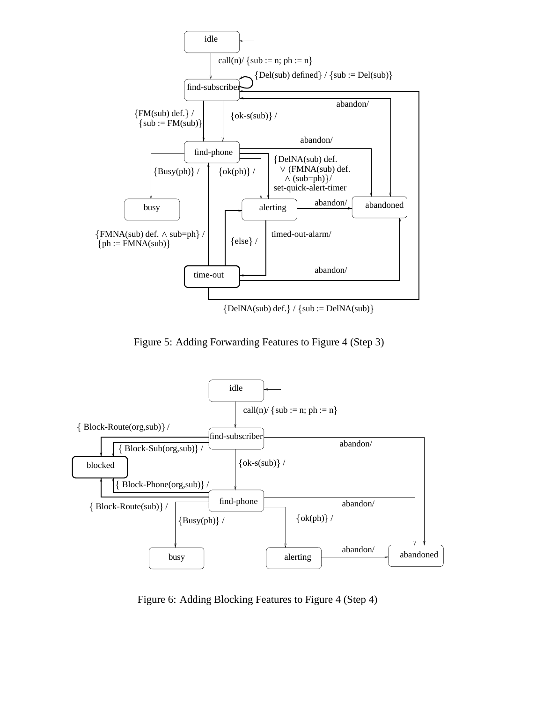

 ${DelNA(sub) def.} / {sub := DelNA(sub)}$ 

Figure 5: Adding Forwarding Features to Figure 4 (Step 3)



Figure 6: Adding Blocking Features to Figure 4 (Step 4)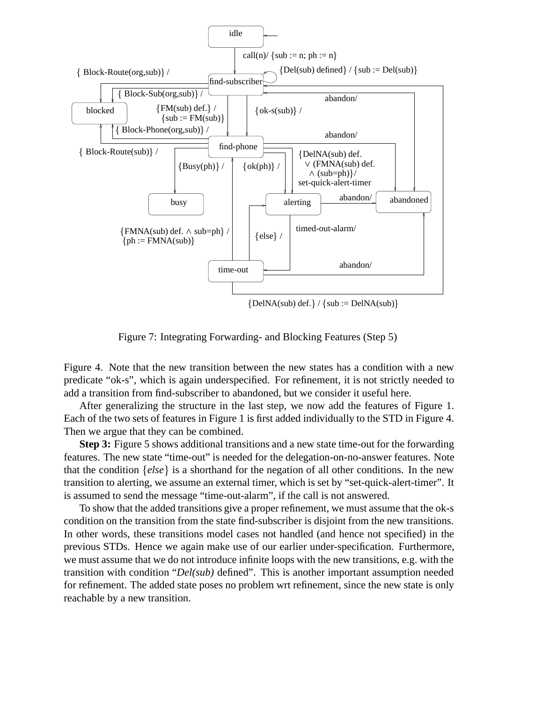

Figure 7: Integrating Forwarding- and Blocking Features (Step 5)

Figure 4. Note that the new transition between the new states has a condition with a new predicate "ok-s", which is again underspecified. For refinement, it is not strictly needed to add a transition from find-subscriber to abandoned, but we consider it useful here.

After generalizing the structure in the last step, we now add the features of Figure 1. Each of the two sets of features in Figure 1 is first added individually to the STD in Figure 4. Then we argue that they can be combined.

**Step 3:** Figure 5 shows additional transitions and a new state time-out for the forwarding features. The new state "time-out" is needed for the delegation-on-no-answer features. Note that the condition  $\{else\}$  is a shorthand for the negation of all other conditions. In the new transition to alerting, we assume an external timer, which is set by "set-quick-alert-timer". It is assumed to send the message "time-out-alarm", if the call is not answered.

To show that the added transitions give a proper refinement, we must assume that the ok-s condition on the transition from the state find-subscriber is disjoint from the new transitions. In other words, these transitions model cases not handled (and hence not specified) in the previous STDs. Hence we again make use of our earlier under-specification. Furthermore, we must assume that we do not introduce infinite loops with the new transitions, e.g. with the transition with condition "*Del(sub)* defined". This is another important assumption needed for refinement. The added state poses no problem wrt refinement, since the new state is only reachable by a new transition.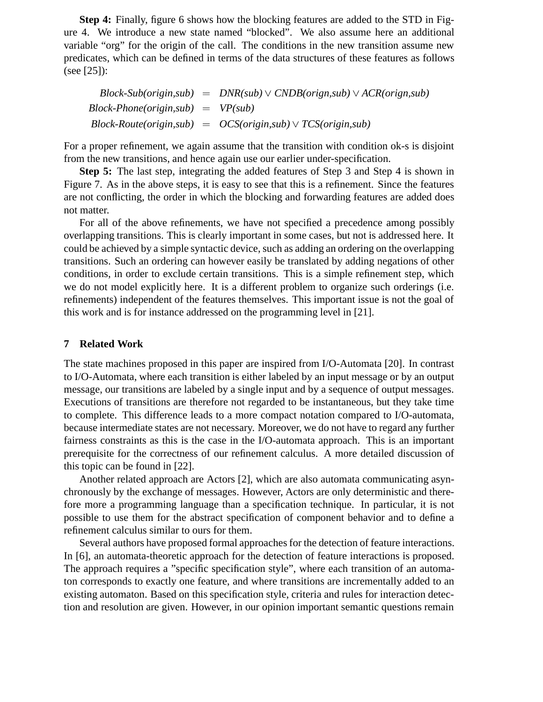**Step 4:** Finally, figure 6 shows how the blocking features are added to the STD in Figure 4. We introduce a new state named "blocked". We also assume here an additional variable "org" for the origin of the call. The conditions in the new transition assume new predicates, which can be defined in terms of the data structures of these features as follows (see [25]):

 $Block-Sub(origin,sub) = DNR(sub) \vee CNDB(origin,sub) \vee ACR(origin,sub)$ *Block-Phone(origin,sub)* - *VP(sub) Block-Route(origin,sub)* - *OCS(origin,sub) TCS(origin,sub)*

For a proper refinement, we again assume that the transition with condition ok-s is disjoint from the new transitions, and hence again use our earlier under-specification.

**Step 5:** The last step, integrating the added features of Step 3 and Step 4 is shown in Figure 7. As in the above steps, it is easy to see that this is a refinement. Since the features are not conflicting, the order in which the blocking and forwarding features are added does not matter.

For all of the above refinements, we have not specified a precedence among possibly overlapping transitions. This is clearly important in some cases, but not is addressed here. It could be achieved by a simple syntactic device, such as adding an ordering on the overlapping transitions. Such an ordering can however easily be translated by adding negations of other conditions, in order to exclude certain transitions. This is a simple refinement step, which we do not model explicitly here. It is a different problem to organize such orderings (i.e. refinements) independent of the features themselves. This important issue is not the goal of this work and is for instance addressed on the programming level in [21].

# **7 Related Work**

The state machines proposed in this paper are inspired from I/O-Automata [20]. In contrast to I/O-Automata, where each transition is either labeled by an input message or by an output message, our transitions are labeled by a single input and by a sequence of output messages. Executions of transitions are therefore not regarded to be instantaneous, but they take time to complete. This difference leads to a more compact notation compared to I/O-automata, because intermediate states are not necessary. Moreover, we do not have to regard any further fairness constraints as this is the case in the I/O-automata approach. This is an important prerequisite for the correctness of our refinement calculus. A more detailed discussion of this topic can be found in [22].

Another related approach are Actors [2], which are also automata communicating asynchronously by the exchange of messages. However, Actors are only deterministic and therefore more a programming language than a specification technique. In particular, it is not possible to use them for the abstract specification of component behavior and to define a refinement calculus similar to ours for them.

Several authors have proposed formal approaches for the detection of feature interactions. In [6], an automata-theoretic approach for the detection of feature interactions is proposed. The approach requires a "specific specification style", where each transition of an automaton corresponds to exactly one feature, and where transitions are incrementally added to an existing automaton. Based on this specification style, criteria and rules for interaction detection and resolution are given. However, in our opinion important semantic questions remain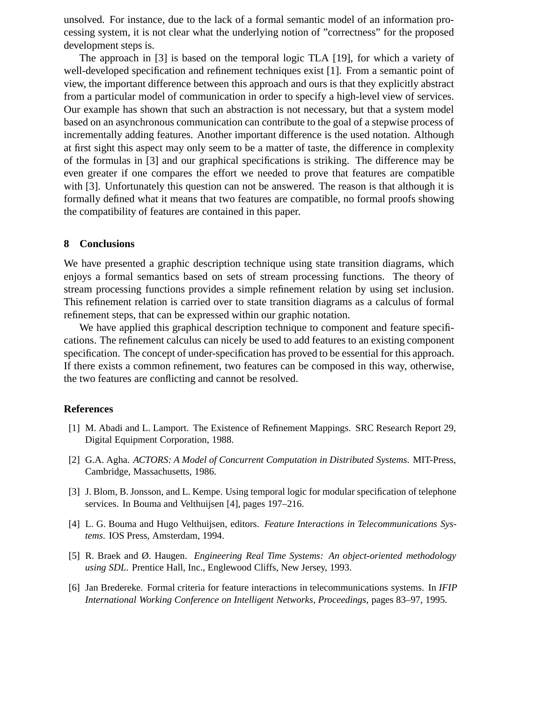unsolved. For instance, due to the lack of a formal semantic model of an information processing system, it is not clear what the underlying notion of "correctness" for the proposed development steps is.

The approach in [3] is based on the temporal logic TLA [19], for which a variety of well-developed specification and refinement techniques exist [1]. From a semantic point of view, the important difference between this approach and ours is that they explicitly abstract from a particular model of communication in order to specify a high-level view of services. Our example has shown that such an abstraction is not necessary, but that a system model based on an asynchronous communication can contribute to the goal of a stepwise process of incrementally adding features. Another important difference is the used notation. Although at first sight this aspect may only seem to be a matter of taste, the difference in complexity of the formulas in [3] and our graphical specifications is striking. The difference may be even greater if one compares the effort we needed to prove that features are compatible with [3]. Unfortunately this question can not be answered. The reason is that although it is formally defined what it means that two features are compatible, no formal proofs showing the compatibility of features are contained in this paper.

### **8 Conclusions**

We have presented a graphic description technique using state transition diagrams, which enjoys a formal semantics based on sets of stream processing functions. The theory of stream processing functions provides a simple refinement relation by using set inclusion. This refinement relation is carried over to state transition diagrams as a calculus of formal refinement steps, that can be expressed within our graphic notation.

We have applied this graphical description technique to component and feature specifications. The refinement calculus can nicely be used to add features to an existing component specification. The concept of under-specification has proved to be essential for this approach. If there exists a common refinement, two features can be composed in this way, otherwise, the two features are conflicting and cannot be resolved.

# **References**

- [1] M. Abadi and L. Lamport. The Existence of Refinement Mappings. SRC Research Report 29, Digital Equipment Corporation, 1988.
- [2] G.A. Agha. *ACTORS: A Model of Concurrent Computation in Distributed Systems*. MIT-Press, Cambridge, Massachusetts, 1986.
- [3] J. Blom, B. Jonsson, and L. Kempe. Using temporal logic for modular specification of telephone services. In Bouma and Velthuijsen [4], pages 197–216.
- [4] L. G. Bouma and Hugo Velthuijsen, editors. *Feature Interactions in Telecommunications Systems*. IOS Press, Amsterdam, 1994.
- [5] R. Braek and Ø. Haugen. *Engineering Real Time Systems: An object-oriented methodology using SDL*. Prentice Hall, Inc., Englewood Cliffs, New Jersey, 1993.
- [6] Jan Bredereke. Formal criteria for feature interactions in telecommunications systems. In *IFIP International Working Conference on Intelligent Networks, Proceedings*, pages 83–97, 1995.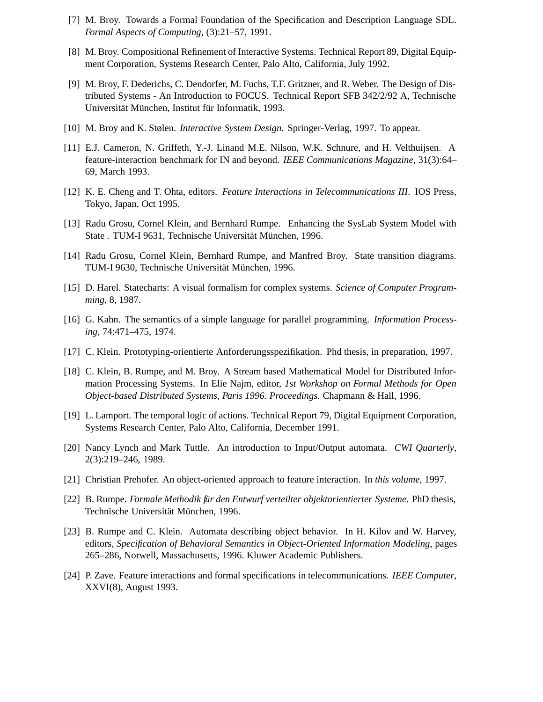- [7] M. Broy. Towards a Formal Foundation of the Specification and Description Language SDL. *Formal Aspects of Computing*, (3):21–57, 1991.
- [8] M. Broy. Compositional Refinement of Interactive Systems. Technical Report 89, Digital Equipment Corporation, Systems Research Center, Palo Alto, California, July 1992.
- [9] M. Broy, F. Dederichs, C. Dendorfer, M. Fuchs, T.F. Gritzner, and R. Weber. The Design of Distributed Systems - An Introduction to FOCUS. Technical Report SFB 342/2/92 A, Technische Universität München, Institut für Informatik, 1993.
- [10] M. Broy and K. Stølen. *Interactive System Design*. Springer-Verlag, 1997. To appear.
- [11] E.J. Cameron, N. Griffeth, Y.-J. Linand M.E. Nilson, W.K. Schnure, and H. Velthuijsen. A feature-interaction benchmark for IN and beyond. *IEEE Communications Magazine*, 31(3):64– 69, March 1993.
- [12] K. E. Cheng and T. Ohta, editors. *Feature Interactions in Telecommunications III*. IOS Press, Tokyo, Japan, Oct 1995.
- [13] Radu Grosu, Cornel Klein, and Bernhard Rumpe. Enhancing the SysLab System Model with State . TUM-I 9631, Technische Universität München, 1996.
- [14] Radu Grosu, Cornel Klein, Bernhard Rumpe, and Manfred Broy. State transition diagrams. TUM-I 9630, Technische Universität München, 1996.
- [15] D. Harel. Statecharts: A visual formalism for complex systems. *Science of Computer Programming*, 8, 1987.
- [16] G. Kahn. The semantics of a simple language for parallel programming. *Information Processing*, 74:471–475, 1974.
- [17] C. Klein. Prototyping-orientierte Anforderungsspezifikation. Phd thesis, in preparation, 1997.
- [18] C. Klein, B. Rumpe, and M. Broy. A Stream based Mathematical Model for Distributed Information Processing Systems. In Elie Najm, editor, *1st Workshop on Formal Methods for Open Object-based Distributed Systems, Paris 1996. Proceedings*. Chapmann & Hall, 1996.
- [19] L. Lamport. The temporal logic of actions. Technical Report 79, Digital Equipment Corporation, Systems Research Center, Palo Alto, California, December 1991.
- [20] Nancy Lynch and Mark Tuttle. An introduction to Input/Output automata. *CWI Quarterly*, 2(3):219–246, 1989.
- [21] Christian Prehofer. An object-oriented approach to feature interaction. In *this volume*, 1997.
- [22] B. Rumpe. *Formale Methodik für den Entwurf verteilter objektorientierter Systeme. PhD thesis,* Technische Universität München, 1996.
- [23] B. Rumpe and C. Klein. Automata describing object behavior. In H. Kilov and W. Harvey, editors, *Specification of Behavioral Semantics in Object-Oriented Information Modeling*, pages 265–286, Norwell, Massachusetts, 1996. Kluwer Academic Publishers.
- [24] P. Zave. Feature interactions and formal specifications in telecommunications. *IEEE Computer*, XXVI(8), August 1993.